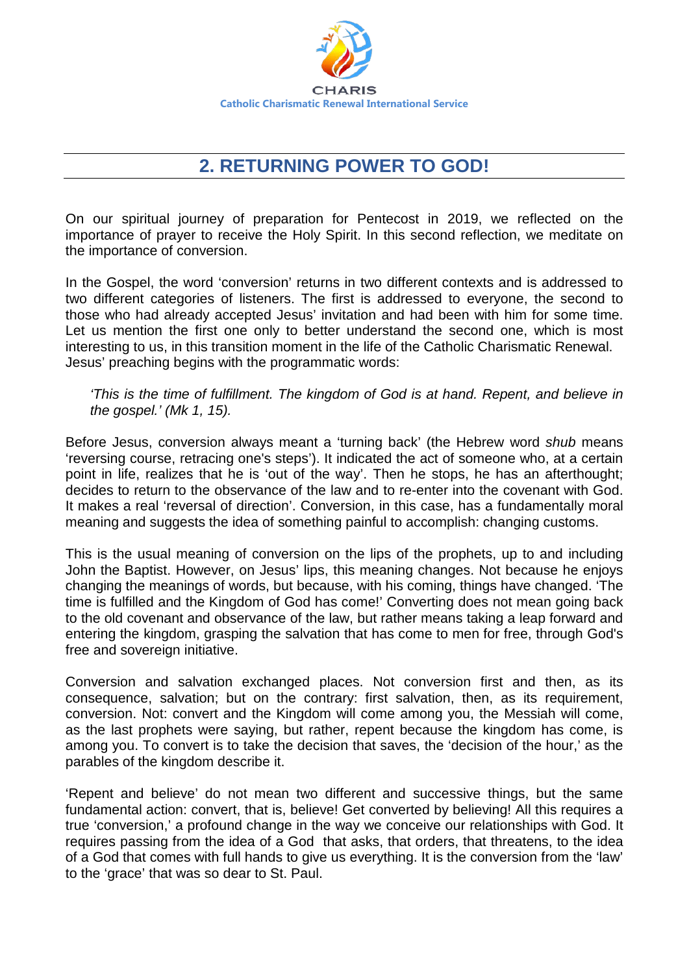

## **2. RETURNING POWER TO GOD!**

On our spiritual journey of preparation for Pentecost in 2019, we reflected on the importance of prayer to receive the Holy Spirit. In this second reflection, we meditate on the importance of conversion.

In the Gospel, the word 'conversion' returns in two different contexts and is addressed to two different categories of listeners. The first is addressed to everyone, the second to those who had already accepted Jesus' invitation and had been with him for some time. Let us mention the first one only to better understand the second one, which is most interesting to us, in this transition moment in the life of the Catholic Charismatic Renewal. Jesus' preaching begins with the programmatic words:

*'This is the time of fulfillment. The kingdom of God is at hand. Repent, and believe in the gospel.' (Mk 1, 15).* 

Before Jesus, conversion always meant a 'turning back' (the Hebrew word *shub* means 'reversing course, retracing one's steps'). It indicated the act of someone who, at a certain point in life, realizes that he is 'out of the way'. Then he stops, he has an afterthought; decides to return to the observance of the law and to re-enter into the covenant with God. It makes a real 'reversal of direction'. Conversion, in this case, has a fundamentally moral meaning and suggests the idea of something painful to accomplish: changing customs.

This is the usual meaning of conversion on the lips of the prophets, up to and including John the Baptist. However, on Jesus' lips, this meaning changes. Not because he enjoys changing the meanings of words, but because, with his coming, things have changed. 'The time is fulfilled and the Kingdom of God has come!' Converting does not mean going back to the old covenant and observance of the law, but rather means taking a leap forward and entering the kingdom, grasping the salvation that has come to men for free, through God's free and sovereign initiative.

Conversion and salvation exchanged places. Not conversion first and then, as its consequence, salvation; but on the contrary: first salvation, then, as its requirement, conversion. Not: convert and the Kingdom will come among you, the Messiah will come, as the last prophets were saying, but rather, repent because the kingdom has come, is among you. To convert is to take the decision that saves, the 'decision of the hour,' as the parables of the kingdom describe it.

'Repent and believe' do not mean two different and successive things, but the same fundamental action: convert, that is, believe! Get converted by believing! All this requires a true 'conversion,' a profound change in the way we conceive our relationships with God. It requires passing from the idea of a God that asks, that orders, that threatens, to the idea of a God that comes with full hands to give us everything. It is the conversion from the 'law' to the 'grace' that was so dear to St. Paul.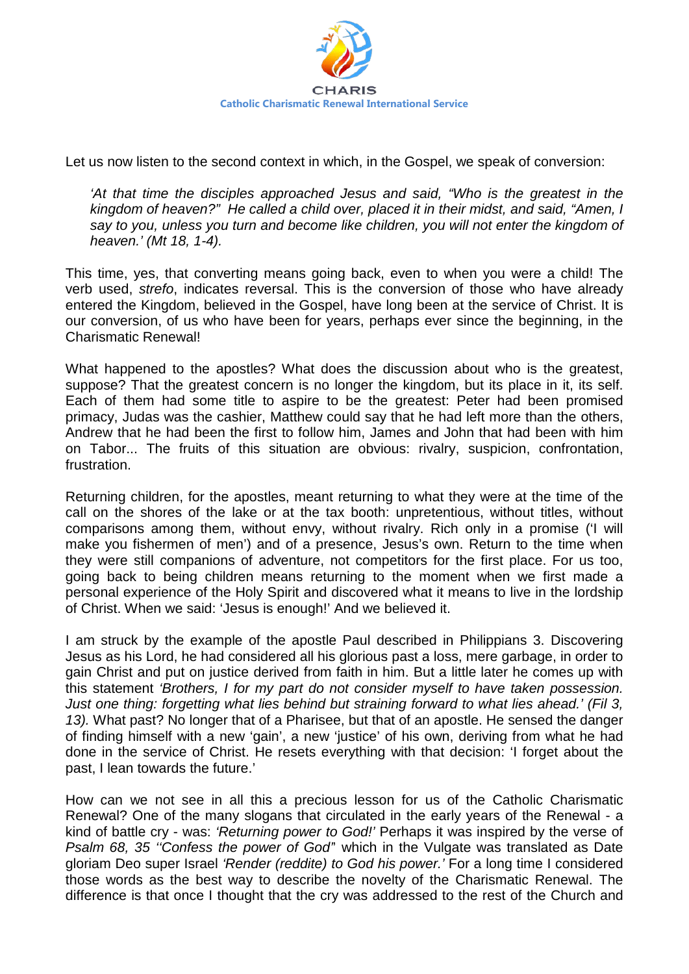

Let us now listen to the second context in which, in the Gospel, we speak of conversion:

*'At that time the disciples approached Jesus and said, "Who is the greatest in the kingdom of heaven?" He called a child over, placed it in their midst, and said, "Amen, I say to you, unless you turn and become like children, you will not enter the kingdom of heaven.' (Mt 18, 1-4).* 

This time, yes, that converting means going back, even to when you were a child! The verb used, *strefo*, indicates reversal. This is the conversion of those who have already entered the Kingdom, believed in the Gospel, have long been at the service of Christ. It is our conversion, of us who have been for years, perhaps ever since the beginning, in the Charismatic Renewal!

What happened to the apostles? What does the discussion about who is the greatest, suppose? That the greatest concern is no longer the kingdom, but its place in it, its self. Each of them had some title to aspire to be the greatest: Peter had been promised primacy, Judas was the cashier, Matthew could say that he had left more than the others, Andrew that he had been the first to follow him, James and John that had been with him on Tabor... The fruits of this situation are obvious: rivalry, suspicion, confrontation, frustration.

Returning children, for the apostles, meant returning to what they were at the time of the call on the shores of the lake or at the tax booth: unpretentious, without titles, without comparisons among them, without envy, without rivalry. Rich only in a promise ('I will make you fishermen of men') and of a presence, Jesus's own. Return to the time when they were still companions of adventure, not competitors for the first place. For us too, going back to being children means returning to the moment when we first made a personal experience of the Holy Spirit and discovered what it means to live in the lordship of Christ. When we said: 'Jesus is enough!' And we believed it.

I am struck by the example of the apostle Paul described in Philippians 3. Discovering Jesus as his Lord, he had considered all his glorious past a loss, mere garbage, in order to gain Christ and put on justice derived from faith in him. But a little later he comes up with this statement *'Brothers, I for my part do not consider myself to have taken possession. Just one thing: forgetting what lies behind but straining forward to what lies ahead.' (Fil 3, 13).* What past? No longer that of a Pharisee, but that of an apostle. He sensed the danger of finding himself with a new 'gain', a new 'justice' of his own, deriving from what he had done in the service of Christ. He resets everything with that decision: 'I forget about the past, I lean towards the future.'

How can we not see in all this a precious lesson for us of the Catholic Charismatic Renewal? One of the many slogans that circulated in the early years of the Renewal - a kind of battle cry - was: *'Returning power to God!'* Perhaps it was inspired by the verse of *Psalm 68, 35 ''Confess the power of God'*' which in the Vulgate was translated as Date gloriam Deo super Israel *'Render (reddite) to God his power.'* For a long time I considered those words as the best way to describe the novelty of the Charismatic Renewal. The difference is that once I thought that the cry was addressed to the rest of the Church and